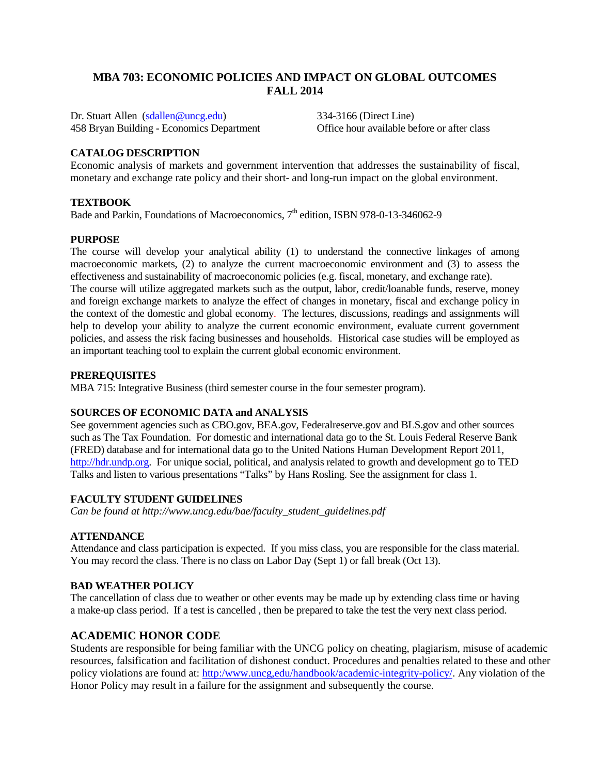## **MBA 703: ECONOMIC POLICIES AND IMPACT ON GLOBAL OUTCOMES FALL 2014**

Dr. Stuart Allen [\(sdallen@uncg.edu\)](mailto:sdallen@uncg.edu) 334-3166 (Direct Line) 458 Bryan Building - Economics Department Office hour available before or after class

## **CATALOG DESCRIPTION**

Economic analysis of markets and government intervention that addresses the sustainability of fiscal, monetary and exchange rate policy and their short- and long-run impact on the global environment.

#### **TEXTBOOK**

Bade and Parkin, Foundations of Macroeconomics, 7<sup>th</sup> edition, ISBN 978-0-13-346062-9

#### **PURPOSE**

The course will develop your analytical ability (1) to understand the connective linkages of among macroeconomic markets, (2) to analyze the current macroeconomic environment and (3) to assess the effectiveness and sustainability of macroeconomic policies (e.g. fiscal, monetary, and exchange rate). The course will utilize aggregated markets such as the output, labor, credit/loanable funds, reserve, money

and foreign exchange markets to analyze the effect of changes in monetary, fiscal and exchange policy in the context of the domestic and global economy. The lectures, discussions, readings and assignments will help to develop your ability to analyze the current economic environment, evaluate current government policies, and assess the risk facing businesses and households. Historical case studies will be employed as an important teaching tool to explain the current global economic environment.

#### **PREREQUISITES**

MBA 715: Integrative Business (third semester course in the four semester program).

#### **SOURCES OF ECONOMIC DATA and ANALYSIS**

See government agencies such as CBO.gov, BEA.gov, Federalreserve.gov and BLS.gov and other sources such as The Tax Foundation. For domestic and international data go to the St. Louis Federal Reserve Bank (FRED) database and for international data go to the United Nations Human Development Report 2011, [http://hdr.undp.org.](http://hdr.undp.org/) For unique social, political, and analysis related to growth and development go to TED Talks and listen to various presentations "Talks" by Hans Rosling. See the assignment for class 1.

#### **FACULTY STUDENT GUIDELINES**

*Can be found at http://www.uncg.edu/bae/faculty\_student\_guidelines.pdf*

#### **ATTENDANCE**

Attendance and class participation is expected. If you miss class, you are responsible for the class material. You may record the class. There is no class on Labor Day (Sept 1) or fall break (Oct 13).

#### **BAD WEATHER POLICY**

The cancellation of class due to weather or other events may be made up by extending class time or having a make-up class period. If a test is cancelled , then be prepared to take the test the very next class period.

#### **ACADEMIC HONOR CODE**

Students are responsible for being familiar with the UNCG policy on cheating, plagiarism, misuse of academic resources, falsification and facilitation of dishonest conduct. Procedures and penalties related to these and other policy violations are found at: [http:/www.uncg,edu/handbook/academic-integrity-policy/.](http://academicintegrity.uncg.edu/) Any violation of the Honor Policy may result in a failure for the assignment and subsequently the course.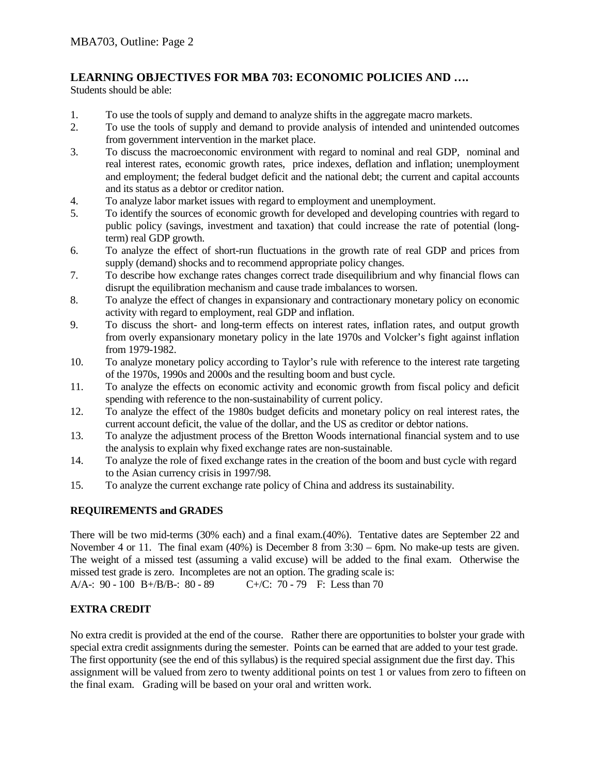# **LEARNING OBJECTIVES FOR MBA 703: ECONOMIC POLICIES AND ….**

Students should be able:

- 1. To use the tools of supply and demand to analyze shifts in the aggregate macro markets.
- 2. To use the tools of supply and demand to provide analysis of intended and unintended outcomes from government intervention in the market place.
- 3. To discuss the macroeconomic environment with regard to nominal and real GDP, nominal and real interest rates, economic growth rates, price indexes, deflation and inflation; unemployment and employment; the federal budget deficit and the national debt; the current and capital accounts and its status as a debtor or creditor nation.
- 4. To analyze labor market issues with regard to employment and unemployment.
- 5. To identify the sources of economic growth for developed and developing countries with regard to public policy (savings, investment and taxation) that could increase the rate of potential (longterm) real GDP growth.
- 6. To analyze the effect of short-run fluctuations in the growth rate of real GDP and prices from supply (demand) shocks and to recommend appropriate policy changes.
- 7. To describe how exchange rates changes correct trade disequilibrium and why financial flows can disrupt the equilibration mechanism and cause trade imbalances to worsen.
- 8. To analyze the effect of changes in expansionary and contractionary monetary policy on economic activity with regard to employment, real GDP and inflation.
- 9. To discuss the short- and long-term effects on interest rates, inflation rates, and output growth from overly expansionary monetary policy in the late 1970s and Volcker's fight against inflation from 1979-1982.
- 10. To analyze monetary policy according to Taylor's rule with reference to the interest rate targeting of the 1970s, 1990s and 2000s and the resulting boom and bust cycle.
- 11. To analyze the effects on economic activity and economic growth from fiscal policy and deficit spending with reference to the non-sustainability of current policy.
- 12. To analyze the effect of the 1980s budget deficits and monetary policy on real interest rates, the current account deficit, the value of the dollar, and the US as creditor or debtor nations.
- 13. To analyze the adjustment process of the Bretton Woods international financial system and to use the analysis to explain why fixed exchange rates are non-sustainable.
- 14. To analyze the role of fixed exchange rates in the creation of the boom and bust cycle with regard to the Asian currency crisis in 1997/98.
- 15. To analyze the current exchange rate policy of China and address its sustainability.

# **REQUIREMENTS and GRADES**

There will be two mid-terms (30% each) and a final exam.(40%). Tentative dates are September 22 and November 4 or 11. The final exam (40%) is December 8 from 3:30 – 6pm. No make-up tests are given. The weight of a missed test (assuming a valid excuse) will be added to the final exam. Otherwise the missed test grade is zero. Incompletes are not an option. The grading scale is:

A/A-: 90 - 100 B+/B/B-: 80 - 89 C+/C: 70 - 79 F: Less than 70

# **EXTRA CREDIT**

No extra credit is provided at the end of the course. Rather there are opportunities to bolster your grade with special extra credit assignments during the semester. Points can be earned that are added to your test grade. The first opportunity (see the end of this syllabus) is the required special assignment due the first day. This assignment will be valued from zero to twenty additional points on test 1 or values from zero to fifteen on the final exam. Grading will be based on your oral and written work.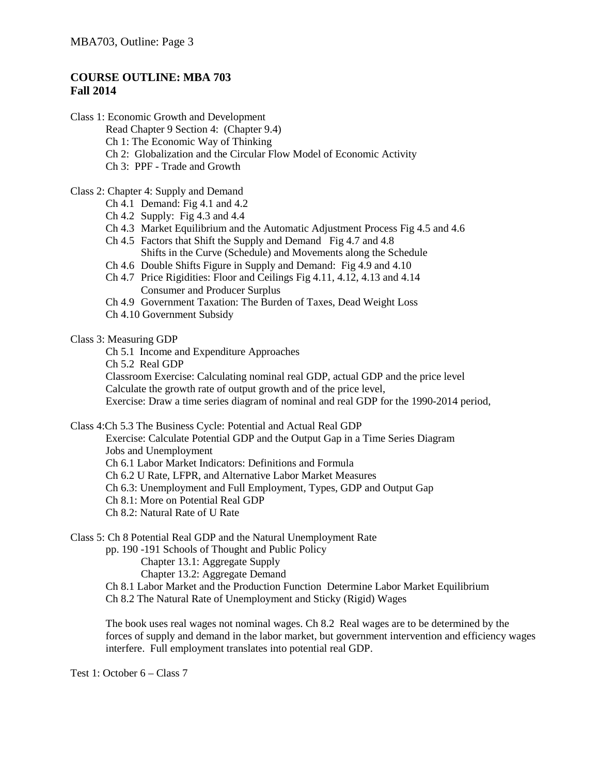# **COURSE OUTLINE: MBA 703 Fall 2014**

Class 1: Economic Growth and Development Read Chapter 9 Section 4: (Chapter 9.4) Ch 1: The Economic Way of Thinking Ch 2: Globalization and the Circular Flow Model of Economic Activity Ch 3: PPF - Trade and Growth

#### Class 2: Chapter 4: Supply and Demand

- Ch 4.1 Demand: Fig 4.1 and 4.2
- Ch 4.2 Supply: Fig 4.3 and 4.4
- Ch 4.3 Market Equilibrium and the Automatic Adjustment Process Fig 4.5 and 4.6
- Ch 4.5 Factors that Shift the Supply and Demand Fig 4.7 and 4.8 Shifts in the Curve (Schedule) and Movements along the Schedule
- Ch 4.6 Double Shifts Figure in Supply and Demand: Fig 4.9 and 4.10
- Ch 4.7 Price Rigidities: Floor and Ceilings Fig 4.11, 4.12, 4.13 and 4.14 Consumer and Producer Surplus
- Ch 4.9 Government Taxation: The Burden of Taxes, Dead Weight Loss
- Ch 4.10 Government Subsidy

## Class 3: Measuring GDP

Ch 5.1 Income and Expenditure Approaches

Ch 5.2 Real GDP

Classroom Exercise: Calculating nominal real GDP, actual GDP and the price level Calculate the growth rate of output growth and of the price level,

Exercise: Draw a time series diagram of nominal and real GDP for the 1990-2014 period,

Class 4:Ch 5.3 The Business Cycle: Potential and Actual Real GDP

Exercise: Calculate Potential GDP and the Output Gap in a Time Series Diagram Jobs and Unemployment Ch 6.1 Labor Market Indicators: Definitions and Formula Ch 6.2 U Rate, LFPR, and Alternative Labor Market Measures Ch 6.3: Unemployment and Full Employment, Types, GDP and Output Gap Ch 8.1: More on Potential Real GDP Ch 8.2: Natural Rate of U Rate

Class 5: Ch 8 Potential Real GDP and the Natural Unemployment Rate

pp. 190 -191 Schools of Thought and Public Policy

Chapter 13.1: Aggregate Supply

Chapter 13.2: Aggregate Demand

- Ch 8.1 Labor Market and the Production Function Determine Labor Market Equilibrium
- Ch 8.2 The Natural Rate of Unemployment and Sticky (Rigid) Wages

The book uses real wages not nominal wages. Ch 8.2 Real wages are to be determined by the forces of supply and demand in the labor market, but government intervention and efficiency wages interfere. Full employment translates into potential real GDP.

Test 1: October 6 – Class 7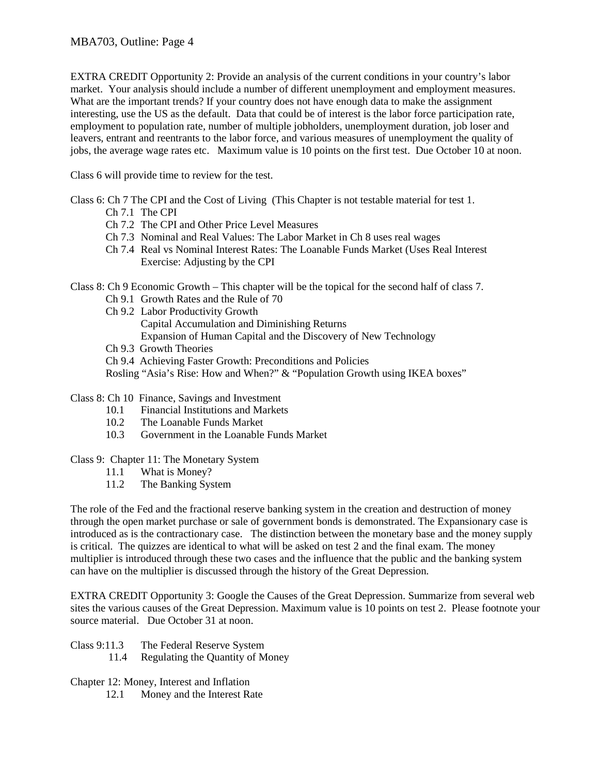EXTRA CREDIT Opportunity 2: Provide an analysis of the current conditions in your country's labor market. Your analysis should include a number of different unemployment and employment measures. What are the important trends? If your country does not have enough data to make the assignment interesting, use the US as the default. Data that could be of interest is the labor force participation rate, employment to population rate, number of multiple jobholders, unemployment duration, job loser and leavers, entrant and reentrants to the labor force, and various measures of unemployment the quality of jobs, the average wage rates etc. Maximum value is 10 points on the first test. Due October 10 at noon.

Class 6 will provide time to review for the test.

Class 6: Ch 7 The CPI and the Cost of Living (This Chapter is not testable material for test 1.

- Ch 7.1 The CPI
- Ch 7.2 The CPI and Other Price Level Measures
- Ch 7.3 Nominal and Real Values: The Labor Market in Ch 8 uses real wages
- Ch 7.4 Real vs Nominal Interest Rates: The Loanable Funds Market (Uses Real Interest Exercise: Adjusting by the CPI

Class 8: Ch 9 Economic Growth – This chapter will be the topical for the second half of class 7.

- Ch 9.1 Growth Rates and the Rule of 70
- Ch 9.2 Labor Productivity Growth Capital Accumulation and Diminishing Returns Expansion of Human Capital and the Discovery of New Technology
- Ch 9.3 Growth Theories

Ch 9.4 Achieving Faster Growth: Preconditions and Policies

Rosling "Asia's Rise: How and When?" & "Population Growth using IKEA boxes"

- Class 8: Ch 10 Finance, Savings and Investment
	- 10.1 Financial Institutions and Markets
	- 10.2 The Loanable Funds Market
	- 10.3 Government in the Loanable Funds Market
- Class 9: Chapter 11: The Monetary System
	- 11.1 What is Money?
	- 11.2 The Banking System

The role of the Fed and the fractional reserve banking system in the creation and destruction of money through the open market purchase or sale of government bonds is demonstrated. The Expansionary case is introduced as is the contractionary case. The distinction between the monetary base and the money supply is critical. The quizzes are identical to what will be asked on test 2 and the final exam. The money multiplier is introduced through these two cases and the influence that the public and the banking system can have on the multiplier is discussed through the history of the Great Depression.

EXTRA CREDIT Opportunity 3: Google the Causes of the Great Depression. Summarize from several web sites the various causes of the Great Depression. Maximum value is 10 points on test 2. Please footnote your source material. Due October 31 at noon.

- Class 9:11.3 The Federal Reserve System
	- 11.4 Regulating the Quantity of Money

Chapter 12: Money, Interest and Inflation

12.1 Money and the Interest Rate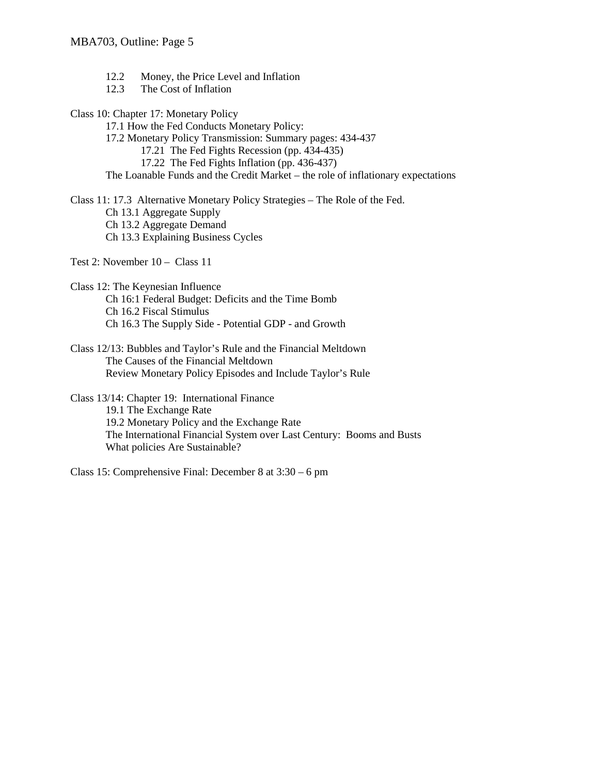- 12.2 Money, the Price Level and Inflation
- 12.3 The Cost of Inflation
- Class 10: Chapter 17: Monetary Policy
	- 17.1 How the Fed Conducts Monetary Policy:
	- 17.2 Monetary Policy Transmission: Summary pages: 434-437
		- 17.21 The Fed Fights Recession (pp. 434-435)
		- 17.22 The Fed Fights Inflation (pp. 436-437)

The Loanable Funds and the Credit Market – the role of inflationary expectations

Class 11: 17.3 Alternative Monetary Policy Strategies – The Role of the Fed. Ch 13.1 Aggregate Supply Ch 13.2 Aggregate Demand Ch 13.3 Explaining Business Cycles

Test 2: November 10 – Class 11

- Class 12: The Keynesian Influence Ch 16:1 Federal Budget: Deficits and the Time Bomb Ch 16.2 Fiscal Stimulus Ch 16.3 The Supply Side - Potential GDP - and Growth
- Class 12/13: Bubbles and Taylor's Rule and the Financial Meltdown The Causes of the Financial Meltdown Review Monetary Policy Episodes and Include Taylor's Rule
- Class 13/14: Chapter 19: International Finance 19.1 The Exchange Rate 19.2 Monetary Policy and the Exchange Rate The International Financial System over Last Century: Booms and Busts What policies Are Sustainable?

Class 15: Comprehensive Final: December 8 at 3:30 – 6 pm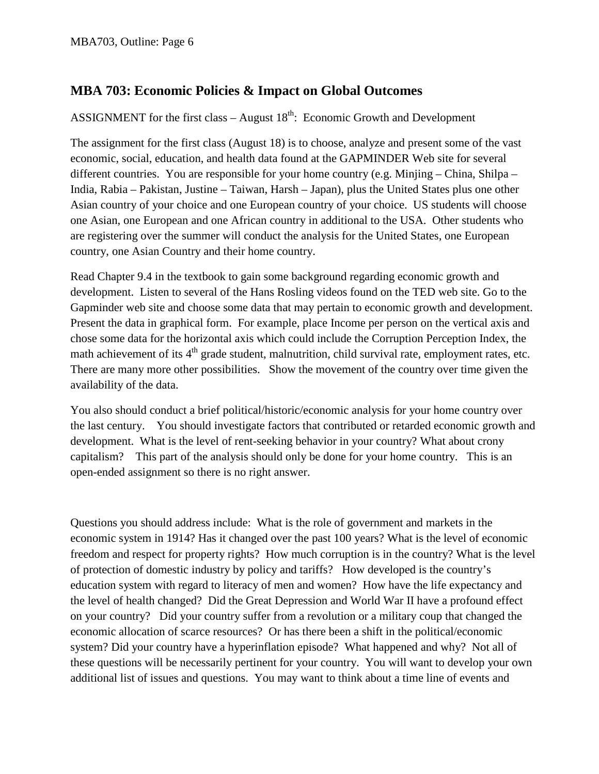# **MBA 703: Economic Policies & Impact on Global Outcomes**

ASSIGNMENT for the first class – August  $18<sup>th</sup>$ : Economic Growth and Development

The assignment for the first class (August 18) is to choose, analyze and present some of the vast economic, social, education, and health data found at the GAPMINDER Web site for several different countries. You are responsible for your home country (e.g. Minjing – China, Shilpa – India, Rabia – Pakistan, Justine – Taiwan, Harsh – Japan), plus the United States plus one other Asian country of your choice and one European country of your choice. US students will choose one Asian, one European and one African country in additional to the USA. Other students who are registering over the summer will conduct the analysis for the United States, one European country, one Asian Country and their home country.

Read Chapter 9.4 in the textbook to gain some background regarding economic growth and development. Listen to several of the Hans Rosling videos found on the TED web site. Go to the Gapminder web site and choose some data that may pertain to economic growth and development. Present the data in graphical form. For example, place Income per person on the vertical axis and chose some data for the horizontal axis which could include the Corruption Perception Index, the math achievement of its 4<sup>th</sup> grade student, malnutrition, child survival rate, employment rates, etc. There are many more other possibilities. Show the movement of the country over time given the availability of the data.

You also should conduct a brief political/historic/economic analysis for your home country over the last century. You should investigate factors that contributed or retarded economic growth and development. What is the level of rent-seeking behavior in your country? What about crony capitalism? This part of the analysis should only be done for your home country. This is an open-ended assignment so there is no right answer.

Questions you should address include: What is the role of government and markets in the economic system in 1914? Has it changed over the past 100 years? What is the level of economic freedom and respect for property rights? How much corruption is in the country? What is the level of protection of domestic industry by policy and tariffs? How developed is the country's education system with regard to literacy of men and women? How have the life expectancy and the level of health changed? Did the Great Depression and World War II have a profound effect on your country? Did your country suffer from a revolution or a military coup that changed the economic allocation of scarce resources? Or has there been a shift in the political/economic system? Did your country have a hyperinflation episode? What happened and why? Not all of these questions will be necessarily pertinent for your country. You will want to develop your own additional list of issues and questions. You may want to think about a time line of events and